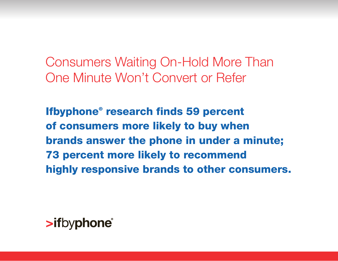Consumers Waiting On-Hold More Than One Minute Won't Convert or Refer

**Ifbyphone® research finds 59 percent of consumers more likely to buy when brands answer the phone in under a minute; 73 percent more likely to recommend highly responsive brands to other consumers.**

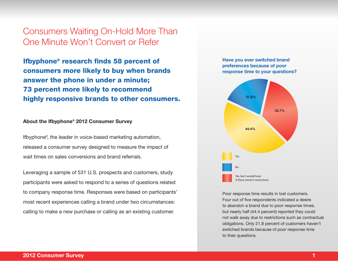# Consumers Waiting On-Hold More Than One Minute Won't Convert or Refer

**Ifbyphone® research finds 58 percent of consumers more likely to buy when brands answer the phone in under a minute; 73 percent more likely to recommend highly responsive brands to other consumers.**

### **About the Ifbyphone® 2012 Consumer Survey**

Ifbyphone® , the leader in voice-based marketing automation, released a consumer survey designed to measure the impact of wait times on sales conversions and brand referrals.

Leveraging a sample of 531 U.S. prospects and customers, study participants were asked to respond to a series of questions related to company response time. Responses were based on participants' most recent experiences calling a brand under two circumstances: calling to make a new purchase or calling as an existing customer.

### **Have you ever switched brand preferences because of poor response time to your questions?**



Poor response time results in lost customers. Four out of five respondents indicated a desire to abandon a brand due to poor response times, but nearly half (44.4 percent) reported they could not walk away due to restrictions such as contractual obligations. Only 21.8 percent of customers haven't switched brands because of poor response time to their questions.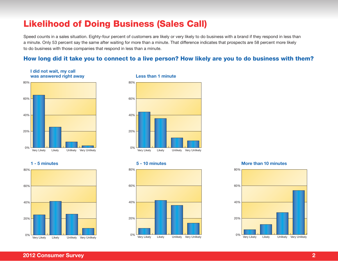# **Likelihood of Doing Business (Sales Call)**

Speed counts in a sales situation. Eighty-four percent of customers are likely or very likely to do business with a brand if they respond in less than a minute. Only 53 percent say the same after waiting for more than a minute. That difference indicates that prospects are 58 percent more likely to do business with those companies that respond in less than a minute.

## **How long did it take you to connect to a live person? How likely are you to do business with them?**



#### **Less than 1 minute**



#### **1 - 5 minutes**



#### **5 - 10 minutes**



#### **More than 10 minutes**

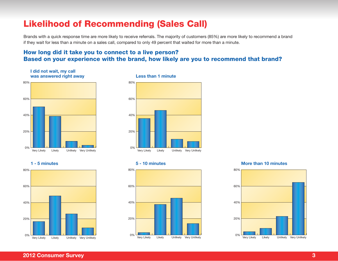# **Likelihood of Recommending (Sales Call)**

Brands with a quick response time are more likely to receive referrals. The majority of customers (85%) are more likely to recommend a brand if they wait for less than a minute on a sales call, compared to only 49 percent that waited for more than a minute.

## **How long did it take you to connect to a live person? Based on your experience with the brand, how likely are you to recommend that brand?**

80% **I did not wait, my call was answered right away**



#### **Less than 1 minute**







#### **5 - 10 minutes**



#### **More than 10 minutes**

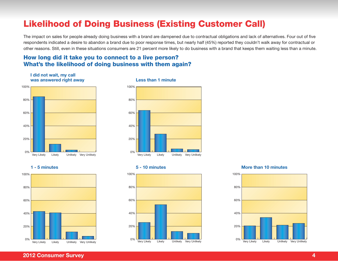# **Likelihood of Doing Business (Existing Customer Call)**

The impact on sales for people already doing business with a brand are dampened due to contractual obligations and lack of alternatives. Four out of five respondents indicated a desire to abandon a brand due to poor response times, but nearly half (45%) reported they couldn't walk away for contractual or other reasons. Still, even in these situations consumers are 21 percent more likely to do business with a brand that keeps them waiting less than a minute.

## **How long did it take you to connect to a live person? What's the likelihood of doing business with them again?**

**I did not wait, my call** 



0%

20%

40%

60%

80%

100%



Very Likely Likely Unlikely Very Unlikely





### **2012 Consumer Survey 4**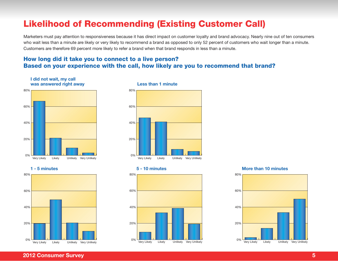# **Likelihood of Recommending (Existing Customer Call)**

Marketers must pay attention to responsiveness because it has direct impact on customer loyalty and brand advocacy. Nearly nine out of ten consumers who wait less than a minute are likely or very likely to recommend a brand as opposed to only 52 percent of customers who wait longer than a minute. Customers are therefore 69 percent more likely to refer a brand when that brand responds in less than a minute.

## **How long did it take you to connect to a live person? Based on your experience with the call, how likely are you to recommend that brand?**

















**2012 Consumer Survey 5**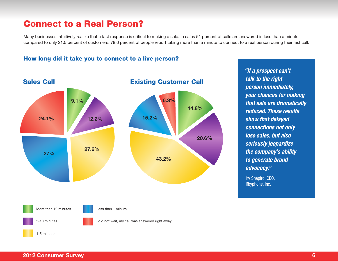# **Connect to a Real Person?**

Many businesses intuitively realize that a fast response is critical to making a sale. In sales 51 percent of calls are answered in less than a minute compared to only 21.5 percent of customers. 78.6 percent of people report taking more than a minute to connect to a real person during their last call.

## **How long did it take you to connect to a live person?**



*"If a prospect can't talk to the right person immediately, your chances for making that sale are dramatically reduced. These results show that delayed connections not only lose sales, but also seriously jeopardize the company's ability to generate brand advocacy."*

Irv Shapiro, CEO, Ifbyphone, Inc.